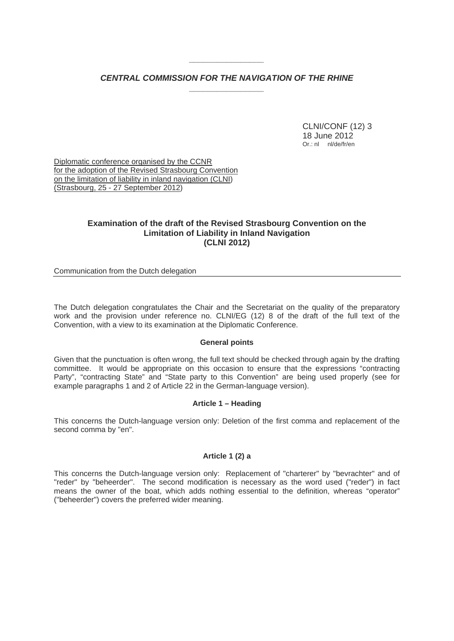# *CENTRAL COMMISSION FOR THE NAVIGATION OF THE RHINE \_\_\_\_\_\_\_\_\_\_\_\_\_\_\_\_*

*\_\_\_\_\_\_\_\_\_\_\_\_\_\_\_\_* 

 CLNI/CONF (12) 3 18 June 2012 Or.: nl nl/de/fr/en

Diplomatic conference organised by the CCNR for the adoption of the Revised Strasbourg Convention on the limitation of liability in inland navigation (CLNI) (Strasbourg, 25 - 27 September 2012)

# **Examination of the draft of the Revised Strasbourg Convention on the Limitation of Liability in Inland Navigation (CLNI 2012)**

Communication from the Dutch delegation

The Dutch delegation congratulates the Chair and the Secretariat on the quality of the preparatory work and the provision under reference no. CLNI/EG (12) 8 of the draft of the full text of the Convention, with a view to its examination at the Diplomatic Conference.

### **General points**

Given that the punctuation is often wrong, the full text should be checked through again by the drafting committee. It would be appropriate on this occasion to ensure that the expressions "contracting Party", "contracting State" and "State party to this Convention" are being used properly (see for example paragraphs 1 and 2 of Article 22 in the German-language version).

### **Article 1 – Heading**

This concerns the Dutch-language version only: Deletion of the first comma and replacement of the second comma by "en".

## **Article 1 (2) a**

This concerns the Dutch-language version only: Replacement of "charterer" by "bevrachter" and of "reder" by "beheerder". The second modification is necessary as the word used ("reder") in fact means the owner of the boat, which adds nothing essential to the definition, whereas "operator" ("beheerder") covers the preferred wider meaning.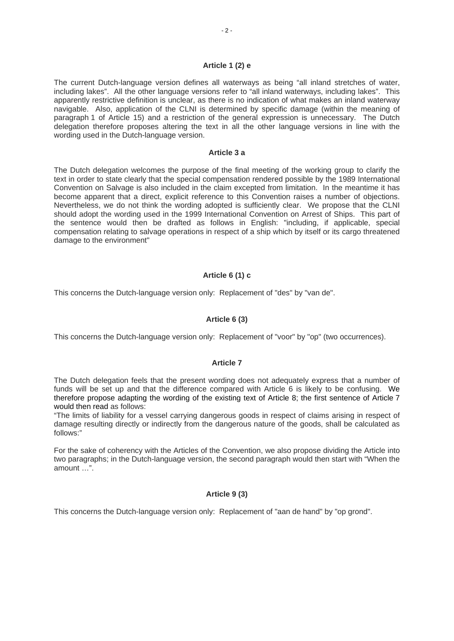### **Article 1 (2) e**

The current Dutch-language version defines all waterways as being "all inland stretches of water, including lakes". All the other language versions refer to "all inland waterways, including lakes". This apparently restrictive definition is unclear, as there is no indication of what makes an inland waterway navigable. Also, application of the CLNI is determined by specific damage (within the meaning of paragraph 1 of Article 15) and a restriction of the general expression is unnecessary. The Dutch delegation therefore proposes altering the text in all the other language versions in line with the wording used in the Dutch-language version.

#### **Article 3 a**

The Dutch delegation welcomes the purpose of the final meeting of the working group to clarify the text in order to state clearly that the special compensation rendered possible by the 1989 International Convention on Salvage is also included in the claim excepted from limitation. In the meantime it has become apparent that a direct, explicit reference to this Convention raises a number of objections. Nevertheless, we do not think the wording adopted is sufficiently clear. We propose that the CLNI should adopt the wording used in the 1999 International Convention on Arrest of Ships. This part of the sentence would then be drafted as follows in English: "including, if applicable, special compensation relating to salvage operations in respect of a ship which by itself or its cargo threatened damage to the environment"

### **Article 6 (1) c**

This concerns the Dutch-language version only: Replacement of "des" by "van de".

### **Article 6 (3)**

This concerns the Dutch-language version only: Replacement of "voor" by "op" (two occurrences).

## **Article 7**

The Dutch delegation feels that the present wording does not adequately express that a number of funds will be set up and that the difference compared with Article 6 is likely to be confusing. We therefore propose adapting the wording of the existing text of Article 8; the first sentence of Article 7 would then read as follows:

"The limits of liability for a vessel carrying dangerous goods in respect of claims arising in respect of damage resulting directly or indirectly from the dangerous nature of the goods, shall be calculated as follows:"

For the sake of coherency with the Articles of the Convention, we also propose dividing the Article into two paragraphs; in the Dutch-language version, the second paragraph would then start with "When the amount …".

### **Article 9 (3)**

This concerns the Dutch-language version only: Replacement of "aan de hand" by "op grond".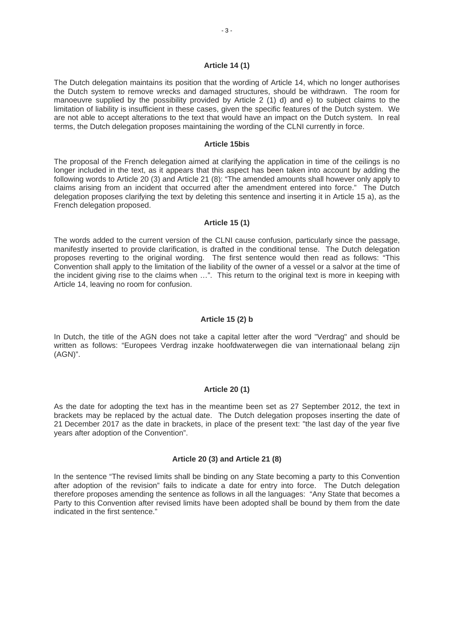#### **Article 14 (1)**

The Dutch delegation maintains its position that the wording of Article 14, which no longer authorises the Dutch system to remove wrecks and damaged structures, should be withdrawn. The room for manoeuvre supplied by the possibility provided by Article 2 (1) d) and e) to subject claims to the limitation of liability is insufficient in these cases, given the specific features of the Dutch system. We are not able to accept alterations to the text that would have an impact on the Dutch system. In real terms, the Dutch delegation proposes maintaining the wording of the CLNI currently in force.

#### **Article 15bis**

The proposal of the French delegation aimed at clarifying the application in time of the ceilings is no longer included in the text, as it appears that this aspect has been taken into account by adding the following words to Article 20 (3) and Article 21 (8): "The amended amounts shall however only apply to claims arising from an incident that occurred after the amendment entered into force." The Dutch delegation proposes clarifying the text by deleting this sentence and inserting it in Article 15 a), as the French delegation proposed.

## **Article 15 (1)**

The words added to the current version of the CLNI cause confusion, particularly since the passage, manifestly inserted to provide clarification, is drafted in the conditional tense. The Dutch delegation proposes reverting to the original wording. The first sentence would then read as follows: "This Convention shall apply to the limitation of the liability of the owner of a vessel or a salvor at the time of the incident giving rise to the claims when …". This return to the original text is more in keeping with Article 14, leaving no room for confusion.

#### **Article 15 (2) b**

In Dutch, the title of the AGN does not take a capital letter after the word "Verdrag" and should be written as follows: "Europees Verdrag inzake hoofdwaterwegen die van internationaal belang zijn (AGN)".

#### **Article 20 (1)**

As the date for adopting the text has in the meantime been set as 27 September 2012, the text in brackets may be replaced by the actual date. The Dutch delegation proposes inserting the date of 21 December 2017 as the date in brackets, in place of the present text: "the last day of the year five years after adoption of the Convention".

#### **Article 20 (3) and Article 21 (8)**

In the sentence "The revised limits shall be binding on any State becoming a party to this Convention after adoption of the revision" fails to indicate a date for entry into force. The Dutch delegation therefore proposes amending the sentence as follows in all the languages: "Any State that becomes a Party to this Convention after revised limits have been adopted shall be bound by them from the date indicated in the first sentence."